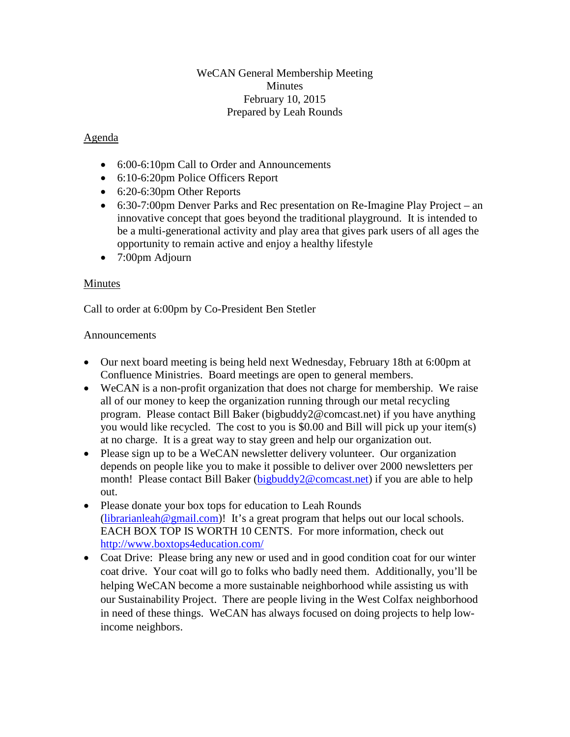## WeCAN General Membership Meeting **Minutes** February 10, 2015 Prepared by Leah Rounds

## Agenda

- 6:00-6:10pm Call to Order and Announcements
- 6:10-6:20pm Police Officers Report
- 6:20-6:30pm Other Reports
- 6:30-7:00pm Denver Parks and Rec presentation on Re-Imagine Play Project an innovative concept that goes beyond the traditional playground. It is intended to be a multi-generational activity and play area that gives park users of all ages the opportunity to remain active and enjoy a healthy lifestyle
- 7:00pm Adjourn

## Minutes

Call to order at 6:00pm by Co-President Ben Stetler

## Announcements

- Our next board meeting is being held next Wednesday, February 18th at 6:00pm at Confluence Ministries. Board meetings are open to general members.
- WeCAN is a non-profit organization that does not charge for membership. We raise all of our money to keep the organization running through our metal recycling program. Please contact Bill Baker (bigbuddy2@comcast.net) if you have anything you would like recycled. The cost to you is \$0.00 and Bill will pick up your item(s) at no charge. It is a great way to stay green and help our organization out.
- Please sign up to be a WeCAN newsletter delivery volunteer. Our organization depends on people like you to make it possible to deliver over 2000 newsletters per month! Please contact Bill Baker [\(bigbuddy2@comcast.net\)](mailto:bigbuddy2@comcast.net) if you are able to help out.
- Please donate your box tops for education to Leah Rounds [\(librarianleah@gmail.com\)](mailto:librarianleah@gmail.com)! It's a great program that helps out our local schools. EACH BOX TOP IS WORTH 10 CENTS. For more information, check out <http://www.boxtops4education.com/>
- Coat Drive: Please bring any new or used and in good condition coat for our winter coat drive. Your coat will go to folks who badly need them. Additionally, you'll be helping WeCAN become a more sustainable neighborhood while assisting us with our Sustainability Project. There are people living in the West Colfax neighborhood in need of these things. WeCAN has always focused on doing projects to help lowincome neighbors.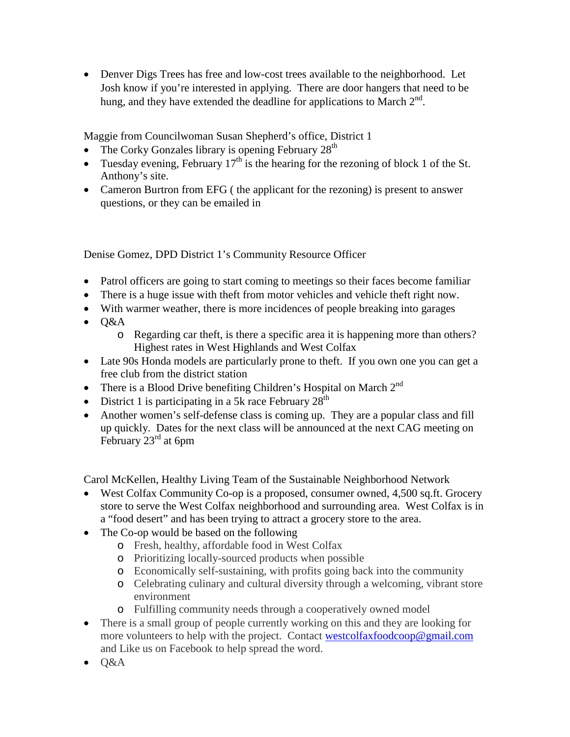• Denver Digs Trees has free and low-cost trees available to the neighborhood. Let Josh know if you're interested in applying. There are door hangers that need to be hung, and they have extended the deadline for applications to March  $2<sup>nd</sup>$ .

Maggie from Councilwoman Susan Shepherd's office, District 1

- The Corky Gonzales library is opening February  $28<sup>th</sup>$
- Tuesday evening, February  $17<sup>th</sup>$  is the hearing for the rezoning of block 1 of the St. Anthony's site.
- Cameron Burtron from EFG (the applicant for the rezoning) is present to answer questions, or they can be emailed in

Denise Gomez, DPD District 1's Community Resource Officer

- Patrol officers are going to start coming to meetings so their faces become familiar
- There is a huge issue with theft from motor vehicles and vehicle theft right now.
- With warmer weather, there is more incidences of people breaking into garages
- Q&A
	- o Regarding car theft, is there a specific area it is happening more than others? Highest rates in West Highlands and West Colfax
- Late 90s Honda models are particularly prone to theft. If you own one you can get a free club from the district station
- There is a Blood Drive benefiting Children's Hospital on March  $2<sup>nd</sup>$
- District 1 is participating in a 5k race February  $28<sup>th</sup>$
- Another women's self-defense class is coming up. They are a popular class and fill up quickly. Dates for the next class will be announced at the next CAG meeting on February  $23<sup>rd</sup>$  at 6pm

Carol McKellen, Healthy Living Team of the Sustainable Neighborhood Network

- West Colfax Community Co-op is a proposed, consumer owned, 4,500 sq.ft. Grocery store to serve the West Colfax neighborhood and surrounding area. West Colfax is in a "food desert" and has been trying to attract a grocery store to the area.
- The Co-op would be based on the following
	- o Fresh, healthy, affordable food in West Colfax
	- o Prioritizing locally-sourced products when possible
	- o Economically self-sustaining, with profits going back into the community
	- o Celebrating culinary and cultural diversity through a welcoming, vibrant store environment
	- o Fulfilling community needs through a cooperatively owned model
- There is a small group of people currently working on this and they are looking for more volunteers to help with the project. Contact [westcolfaxfoodcoop@gmail.com](mailto:westcolfaxfoodcoop@gmail.com) and Like us on Facebook to help spread the word.
- $\bullet$  Q&A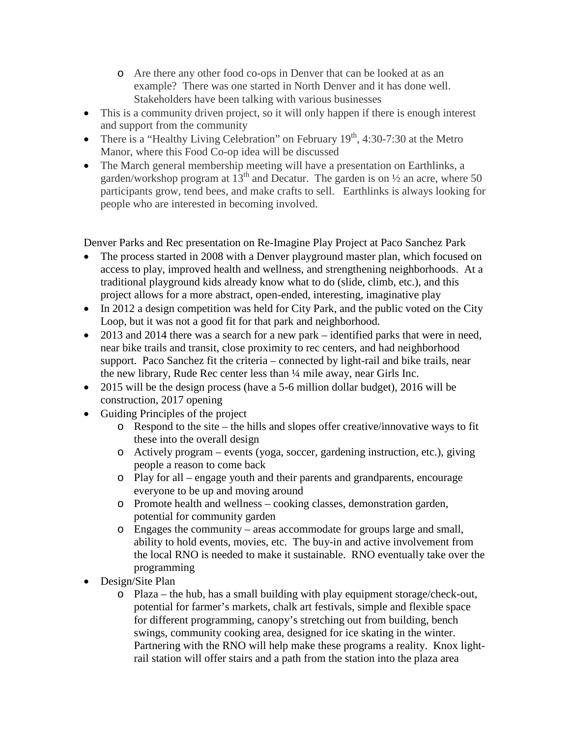- o Are there any other food co-ops in Denver that can be looked at as an example? There was one started in North Denver and it has done well. Stakeholders have been talking with various businesses
- This is a community driven project, so it will only happen if there is enough interest and support from the community
- There is a "Healthy Living Celebration" on February  $19<sup>th</sup>$ , 4:30-7:30 at the Metro Manor, where this Food Co-op idea will be discussed
- The March general membership meeting will have a presentation on Earthlinks, a garden/workshop program at  $13<sup>th</sup>$  and Decatur. The garden is on  $\frac{1}{2}$  an acre, where 50 participants grow, tend bees, and make crafts to sell. Earthlinks is always looking for people who are interested in becoming involved.

Denver Parks and Rec presentation on Re-Imagine Play Project at Paco Sanchez Park

- The process started in 2008 with a Denver playground master plan, which focused on access to play, improved health and wellness, and strengthening neighborhoods. At a traditional playground kids already know what to do (slide, climb, etc.), and this project allows for a more abstract, open-ended, interesting, imaginative play
- In 2012 a design competition was held for City Park, and the public voted on the City Loop, but it was not a good fit for that park and neighborhood.
- 2013 and 2014 there was a search for a new park identified parks that were in need, near bike trails and transit, close proximity to rec centers, and had neighborhood support. Paco Sanchez fit the criteria – connected by light-rail and bike trails, near the new library, Rude Rec center less than ¼ mile away, near Girls Inc.
- 2015 will be the design process (have a 5-6 million dollar budget), 2016 will be construction, 2017 opening
- Guiding Principles of the project
	- o Respond to the site the hills and slopes offer creative/innovative ways to fit these into the overall design
	- o Actively program events (yoga, soccer, gardening instruction, etc.), giving people a reason to come back
	- o Play for all engage youth and their parents and grandparents, encourage everyone to be up and moving around
	- o Promote health and wellness cooking classes, demonstration garden, potential for community garden
	- o Engages the community areas accommodate for groups large and small, ability to hold events, movies, etc. The buy-in and active involvement from the local RNO is needed to make it sustainable. RNO eventually take over the programming
- Design/Site Plan
	- o Plaza the hub, has a small building with play equipment storage/check-out, potential for farmer's markets, chalk art festivals, simple and flexible space for different programming, canopy's stretching out from building, bench swings, community cooking area, designed for ice skating in the winter. Partnering with the RNO will help make these programs a reality. Knox lightrail station will offer stairs and a path from the station into the plaza area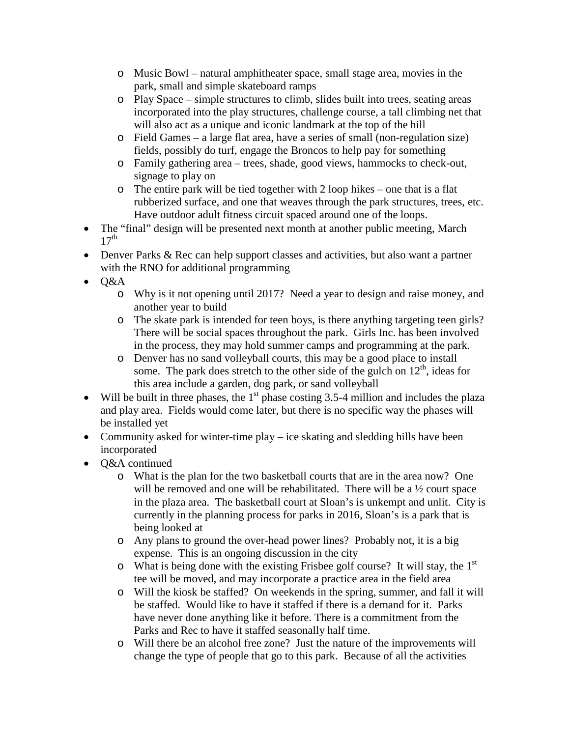- o Music Bowl natural amphitheater space, small stage area, movies in the park, small and simple skateboard ramps
- o Play Space simple structures to climb, slides built into trees, seating areas incorporated into the play structures, challenge course, a tall climbing net that will also act as a unique and iconic landmark at the top of the hill
- o Field Games a large flat area, have a series of small (non-regulation size) fields, possibly do turf, engage the Broncos to help pay for something
- o Family gathering area trees, shade, good views, hammocks to check-out, signage to play on
- o The entire park will be tied together with 2 loop hikes one that is a flat rubberized surface, and one that weaves through the park structures, trees, etc. Have outdoor adult fitness circuit spaced around one of the loops.
- The "final" design will be presented next month at another public meeting, March  $17<sup>th</sup>$
- Denver Parks & Rec can help support classes and activities, but also want a partner with the RNO for additional programming
- $-$  O&A
	- o Why is it not opening until 2017? Need a year to design and raise money, and another year to build
	- o The skate park is intended for teen boys, is there anything targeting teen girls? There will be social spaces throughout the park. Girls Inc. has been involved in the process, they may hold summer camps and programming at the park.
	- o Denver has no sand volleyball courts, this may be a good place to install some. The park does stretch to the other side of the gulch on  $12<sup>th</sup>$ , ideas for this area include a garden, dog park, or sand volleyball
- Will be built in three phases, the  $1<sup>st</sup>$  phase costing 3.5-4 million and includes the plaza and play area. Fields would come later, but there is no specific way the phases will be installed yet
- Community asked for winter-time play ice skating and sledding hills have been incorporated
- Q&A continued
	- o What is the plan for the two basketball courts that are in the area now? One will be removed and one will be rehabilitated. There will be a  $\frac{1}{2}$  court space in the plaza area. The basketball court at Sloan's is unkempt and unlit. City is currently in the planning process for parks in 2016, Sloan's is a park that is being looked at
	- o Any plans to ground the over-head power lines? Probably not, it is a big expense. This is an ongoing discussion in the city
	- o What is being done with the existing Frisbee golf course? It will stay, the  $1<sup>st</sup>$ tee will be moved, and may incorporate a practice area in the field area
	- o Will the kiosk be staffed? On weekends in the spring, summer, and fall it will be staffed. Would like to have it staffed if there is a demand for it. Parks have never done anything like it before. There is a commitment from the Parks and Rec to have it staffed seasonally half time.
	- o Will there be an alcohol free zone? Just the nature of the improvements will change the type of people that go to this park. Because of all the activities